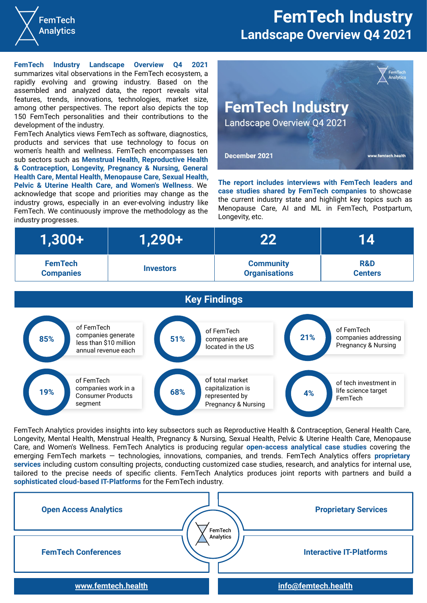

## **FemTech Industry Landscape Overview Q4 2021**

**FemTech Industry Landscape Overview Q4 2021** summarizes vital observations in the FemTech ecosystem, a rapidly evolving and growing industry. Based on the assembled and analyzed data, the report reveals vital features, trends, innovations, technologies, market size, among other perspectives. The report also depicts the top 150 FemTech personalities and their contributions to the development of the industry.

FemTech Analytics views FemTech as software, diagnostics, products and services that use technology to focus on women's health and wellness. FemTech encompasses ten sub sectors such as **Menstrual Health, Reproductive Health & Contraception, Longevity, Pregnancy & Nursing, General Health Care, Mental Health, Menopause Care, Sexual Health, Pelvic & Uterine Health Care, and Women's Wellness**. We acknowledge that scope and priorities may change as the industry grows, especially in an ever-evolving industry like FemTech. We continuously improve the methodology as the industry progresses.



**The report includes interviews with FemTech leaders and case studies shared by FemTech companies** to showcase the current industry state and highlight key topics such as Menopause Care, AI and ML in FemTech, Postpartum, Longevity, etc.

| $(1,300+1)$      | 1,290+           | 22                   |                |
|------------------|------------------|----------------------|----------------|
| <b>FemTech</b>   | <b>Investors</b> | <b>Community</b>     | <b>R&amp;D</b> |
| <b>Companies</b> |                  | <b>Organisations</b> | <b>Centers</b> |



FemTech Analytics provides insights into key subsectors such as Reproductive Health & Contraception, General Health Care, Longevity, Mental Health, Menstrual Health, Pregnancy & Nursing, Sexual Health, Pelvic & Uterine Health Care, Menopause Care, and Women's Wellness. FemTech Analytics is producing regular **open-access analytical case studies** covering the emerging FemTech markets — technologies, innovations, companies, and trends. FemTech Analytics offers **proprietary services** including custom consulting projects, сonducting customized case studies, research, and analytics for internal use, tailored to the precise needs of specific clients. FemTech Analytics produces joint reports with partners and build a **sophisticated cloud-based IT-Platforms** for the FemTech industry.

| <b>Open Access Analytics</b> | <b>Proprietary Services</b><br>FemTech       |  |
|------------------------------|----------------------------------------------|--|
| <b>FemTech Conferences</b>   | Analytics<br><b>Interactive IT-Platforms</b> |  |
| www.femtech.health           | info@femtech.health                          |  |